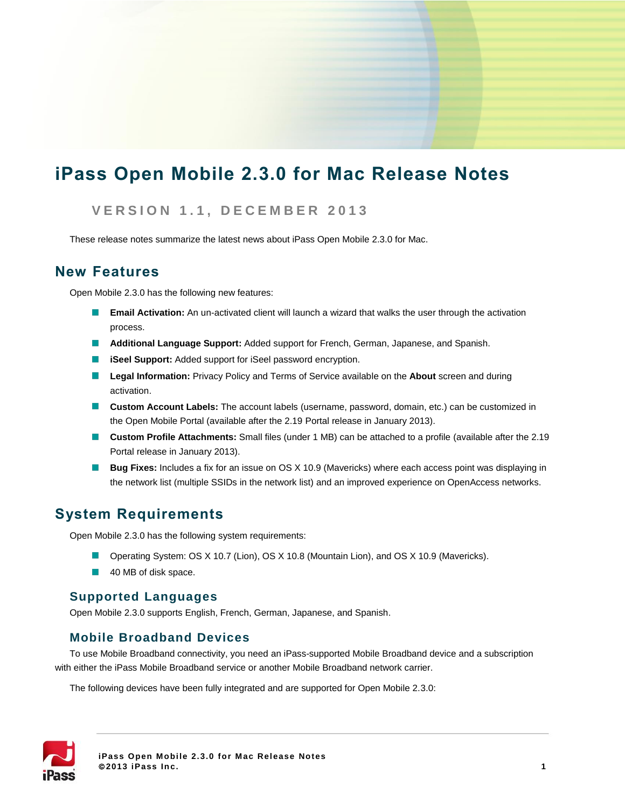# **iPass Open Mobile 2.3.0 for Mac Release Notes**

### **V E R S I O N 1 . 1 , D E C E M B E R 2 0 1 3**

These release notes summarize the latest news about iPass Open Mobile 2.3.0 for Mac.

### **New Features**

Open Mobile 2.3.0 has the following new features:

- $\sim$ **Email Activation:** An un-activated client will launch a wizard that walks the user through the activation process.
- **Additional Language Support:** Added support for French, German, Japanese, and Spanish.
- **iSeel Support:** Added support for iSeel password encryption.
- **Legal Information:** Privacy Policy and Terms of Service available on the **About** screen and during activation.
- **Custom Account Labels:** The account labels (username, password, domain, etc.) can be customized in the Open Mobile Portal (available after the 2.19 Portal release in January 2013).
- **Custom Profile Attachments:** Small files (under 1 MB) can be attached to a profile (available after the 2.19 Portal release in January 2013).
- **Bug Fixes:** Includes a fix for an issue on OS X 10.9 (Mavericks) where each access point was displaying in the network list (multiple SSIDs in the network list) and an improved experience on OpenAccess networks.

### **System Requirements**

Open Mobile 2.3.0 has the following system requirements:

- Operating System: OS X 10.7 (Lion), OS X 10.8 (Mountain Lion), and OS X 10.9 (Mavericks).
- 40 MB of disk space.

### **Supported Languages**

Open Mobile 2.3.0 supports English, French, German, Japanese, and Spanish.

### **Mobile Broadband Devices**

To use Mobile Broadband connectivity, you need an iPass-supported Mobile Broadband device and a subscription with either the iPass Mobile Broadband service or another Mobile Broadband network carrier.

The following devices have been fully integrated and are supported for Open Mobile 2.3.0:

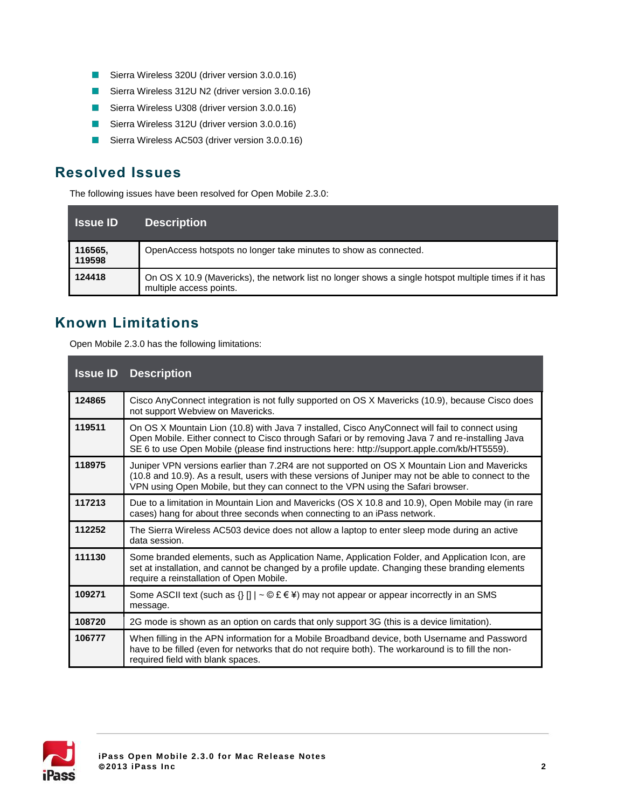- Sierra Wireless 320U (driver version 3.0.0.16)
- Sierra Wireless 312U N2 (driver version 3.0.0.16)
- Sierra Wireless U308 (driver version 3.0.0.16)
- Sierra Wireless 312U (driver version 3.0.0.16)  $\overline{\phantom{a}}$
- Sierra Wireless AC503 (driver version 3.0.0.16)  $\mathcal{C}^{\mathcal{A}}$

# **Resolved Issues**

The following issues have been resolved for Open Mobile 2.3.0:

| <b>Issue ID</b>   | <b>Description</b>                                                                                                              |
|-------------------|---------------------------------------------------------------------------------------------------------------------------------|
| 116565,<br>119598 | OpenAccess hotspots no longer take minutes to show as connected.                                                                |
| 124418            | On OS X 10.9 (Mavericks), the network list no longer shows a single hotspot multiple times if it has<br>multiple access points. |

# **Known Limitations**

Open Mobile 2.3.0 has the following limitations:

| <b>Issue ID</b> | <b>Description</b>                                                                                                                                                                                                                                                                                  |
|-----------------|-----------------------------------------------------------------------------------------------------------------------------------------------------------------------------------------------------------------------------------------------------------------------------------------------------|
| 124865          | Cisco AnyConnect integration is not fully supported on OS X Mavericks (10.9), because Cisco does<br>not support Webview on Mavericks.                                                                                                                                                               |
| 119511          | On OS X Mountain Lion (10.8) with Java 7 installed, Cisco AnyConnect will fail to connect using<br>Open Mobile. Either connect to Cisco through Safari or by removing Java 7 and re-installing Java<br>SE 6 to use Open Mobile (please find instructions here: http://support.apple.com/kb/HT5559). |
| 118975          | Juniper VPN versions earlier than 7.2R4 are not supported on OS X Mountain Lion and Mavericks<br>(10.8 and 10.9). As a result, users with these versions of Juniper may not be able to connect to the<br>VPN using Open Mobile, but they can connect to the VPN using the Safari browser.           |
| 117213          | Due to a limitation in Mountain Lion and Mavericks (OS X 10.8 and 10.9), Open Mobile may (in rare<br>cases) hang for about three seconds when connecting to an iPass network.                                                                                                                       |
| 112252          | The Sierra Wireless AC503 device does not allow a laptop to enter sleep mode during an active<br>data session.                                                                                                                                                                                      |
| 111130          | Some branded elements, such as Application Name, Application Folder, and Application Icon, are<br>set at installation, and cannot be changed by a profile update. Changing these branding elements<br>require a reinstallation of Open Mobile.                                                      |
| 109271          | Some ASCII text (such as $\{ \}$ $\  \cdot \Phi \in \mathbb{R}$ ) may not appear or appear incorrectly in an SMS<br>message.                                                                                                                                                                        |
| 108720          | 2G mode is shown as an option on cards that only support 3G (this is a device limitation).                                                                                                                                                                                                          |
| 106777          | When filling in the APN information for a Mobile Broadband device, both Username and Password<br>have to be filled (even for networks that do not require both). The workaround is to fill the non-<br>required field with blank spaces.                                                            |

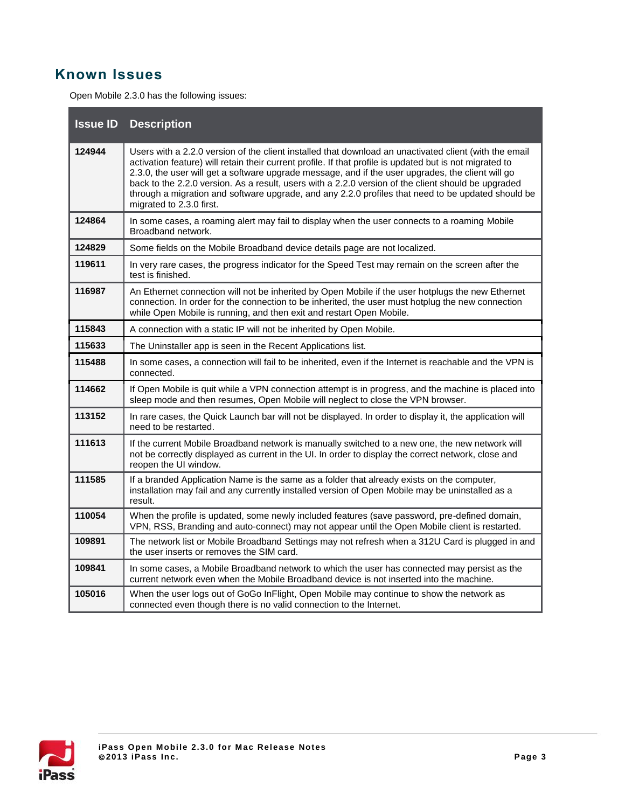## **Known Issues**

Open Mobile 2.3.0 has the following issues:

| <b>Issue ID</b> | <b>Description</b>                                                                                                                                                                                                                                                                                                                                                                                                                                                                                                                                               |
|-----------------|------------------------------------------------------------------------------------------------------------------------------------------------------------------------------------------------------------------------------------------------------------------------------------------------------------------------------------------------------------------------------------------------------------------------------------------------------------------------------------------------------------------------------------------------------------------|
| 124944          | Users with a 2.2.0 version of the client installed that download an unactivated client (with the email<br>activation feature) will retain their current profile. If that profile is updated but is not migrated to<br>2.3.0, the user will get a software upgrade message, and if the user upgrades, the client will go<br>back to the 2.2.0 version. As a result, users with a 2.2.0 version of the client should be upgraded<br>through a migration and software upgrade, and any 2.2.0 profiles that need to be updated should be<br>migrated to 2.3.0 first. |
| 124864          | In some cases, a roaming alert may fail to display when the user connects to a roaming Mobile<br>Broadband network.                                                                                                                                                                                                                                                                                                                                                                                                                                              |
| 124829          | Some fields on the Mobile Broadband device details page are not localized.                                                                                                                                                                                                                                                                                                                                                                                                                                                                                       |
| 119611          | In very rare cases, the progress indicator for the Speed Test may remain on the screen after the<br>test is finished.                                                                                                                                                                                                                                                                                                                                                                                                                                            |
| 116987          | An Ethernet connection will not be inherited by Open Mobile if the user hotplugs the new Ethernet<br>connection. In order for the connection to be inherited, the user must hotplug the new connection<br>while Open Mobile is running, and then exit and restart Open Mobile.                                                                                                                                                                                                                                                                                   |
| 115843          | A connection with a static IP will not be inherited by Open Mobile.                                                                                                                                                                                                                                                                                                                                                                                                                                                                                              |
| 115633          | The Uninstaller app is seen in the Recent Applications list.                                                                                                                                                                                                                                                                                                                                                                                                                                                                                                     |
| 115488          | In some cases, a connection will fail to be inherited, even if the Internet is reachable and the VPN is<br>connected.                                                                                                                                                                                                                                                                                                                                                                                                                                            |
| 114662          | If Open Mobile is quit while a VPN connection attempt is in progress, and the machine is placed into<br>sleep mode and then resumes, Open Mobile will neglect to close the VPN browser.                                                                                                                                                                                                                                                                                                                                                                          |
| 113152          | In rare cases, the Quick Launch bar will not be displayed. In order to display it, the application will<br>need to be restarted.                                                                                                                                                                                                                                                                                                                                                                                                                                 |
| 111613          | If the current Mobile Broadband network is manually switched to a new one, the new network will<br>not be correctly displayed as current in the UI. In order to display the correct network, close and<br>reopen the UI window.                                                                                                                                                                                                                                                                                                                                  |
| 111585          | If a branded Application Name is the same as a folder that already exists on the computer,<br>installation may fail and any currently installed version of Open Mobile may be uninstalled as a<br>result.                                                                                                                                                                                                                                                                                                                                                        |
| 110054          | When the profile is updated, some newly included features (save password, pre-defined domain,<br>VPN, RSS, Branding and auto-connect) may not appear until the Open Mobile client is restarted.                                                                                                                                                                                                                                                                                                                                                                  |
| 109891          | The network list or Mobile Broadband Settings may not refresh when a 312U Card is plugged in and<br>the user inserts or removes the SIM card.                                                                                                                                                                                                                                                                                                                                                                                                                    |
| 109841          | In some cases, a Mobile Broadband network to which the user has connected may persist as the<br>current network even when the Mobile Broadband device is not inserted into the machine.                                                                                                                                                                                                                                                                                                                                                                          |
| 105016          | When the user logs out of GoGo InFlight, Open Mobile may continue to show the network as<br>connected even though there is no valid connection to the Internet.                                                                                                                                                                                                                                                                                                                                                                                                  |